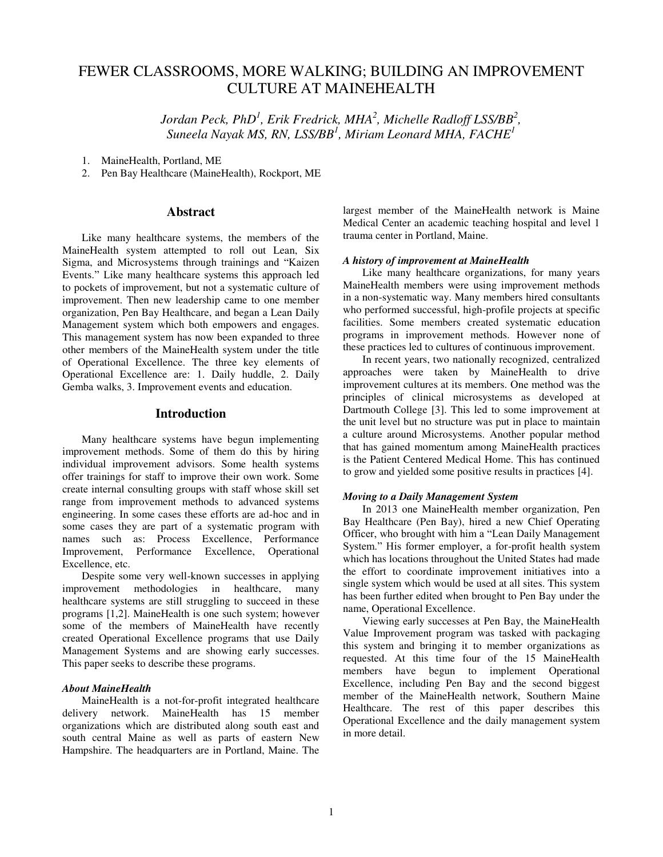# FEWER CLASSROOMS, MORE WALKING; BUILDING AN IMPROVEMENT CULTURE AT MAINEHEALTH

*Jordan Peck, PhD<sup>1</sup> , Erik Fredrick, MHA<sup>2</sup> , Michelle Radloff LSS/BB<sup>2</sup> ,*   $S$ uneela Nayak MS, RN, LSS/BB<sup>1</sup>, Miriam Leonard MHA, FACHE<sup>1</sup>

1. MaineHealth, Portland, ME

2. Pen Bay Healthcare (MaineHealth), Rockport, ME

## **Abstract**

Like many healthcare systems, the members of the MaineHealth system attempted to roll out Lean, Six Sigma, and Microsystems through trainings and "Kaizen Events." Like many healthcare systems this approach led to pockets of improvement, but not a systematic culture of improvement. Then new leadership came to one member organization, Pen Bay Healthcare, and began a Lean Daily Management system which both empowers and engages. This management system has now been expanded to three other members of the MaineHealth system under the title of Operational Excellence. The three key elements of Operational Excellence are: 1. Daily huddle, 2. Daily Gemba walks, 3. Improvement events and education.

#### **Introduction**

Many healthcare systems have begun implementing improvement methods. Some of them do this by hiring individual improvement advisors. Some health systems offer trainings for staff to improve their own work. Some create internal consulting groups with staff whose skill set range from improvement methods to advanced systems engineering. In some cases these efforts are ad-hoc and in some cases they are part of a systematic program with names such as: Process Excellence, Performance Improvement, Performance Excellence, Operational Excellence, etc.

Despite some very well-known successes in applying improvement methodologies in healthcare, many healthcare systems are still struggling to succeed in these programs [1,2]. MaineHealth is one such system; however some of the members of MaineHealth have recently created Operational Excellence programs that use Daily Management Systems and are showing early successes. This paper seeks to describe these programs.

#### *About MaineHealth*

MaineHealth is a not-for-profit integrated healthcare delivery network. MaineHealth has 15 member organizations which are distributed along south east and south central Maine as well as parts of eastern New Hampshire. The headquarters are in Portland, Maine. The largest member of the MaineHealth network is Maine Medical Center an academic teaching hospital and level 1 trauma center in Portland, Maine.

#### *A history of improvement at MaineHealth*

Like many healthcare organizations, for many years MaineHealth members were using improvement methods in a non-systematic way. Many members hired consultants who performed successful, high-profile projects at specific facilities. Some members created systematic education programs in improvement methods. However none of these practices led to cultures of continuous improvement.

In recent years, two nationally recognized, centralized approaches were taken by MaineHealth to drive improvement cultures at its members. One method was the principles of clinical microsystems as developed at Dartmouth College [3]. This led to some improvement at the unit level but no structure was put in place to maintain a culture around Microsystems. Another popular method that has gained momentum among MaineHealth practices is the Patient Centered Medical Home. This has continued to grow and yielded some positive results in practices [4].

#### *Moving to a Daily Management System*

In 2013 one MaineHealth member organization, Pen Bay Healthcare (Pen Bay), hired a new Chief Operating Officer, who brought with him a "Lean Daily Management System." His former employer, a for-profit health system which has locations throughout the United States had made the effort to coordinate improvement initiatives into a single system which would be used at all sites. This system has been further edited when brought to Pen Bay under the name, Operational Excellence.

Viewing early successes at Pen Bay, the MaineHealth Value Improvement program was tasked with packaging this system and bringing it to member organizations as requested. At this time four of the 15 MaineHealth members have begun to implement Operational Excellence, including Pen Bay and the second biggest member of the MaineHealth network, Southern Maine Healthcare. The rest of this paper describes this Operational Excellence and the daily management system in more detail.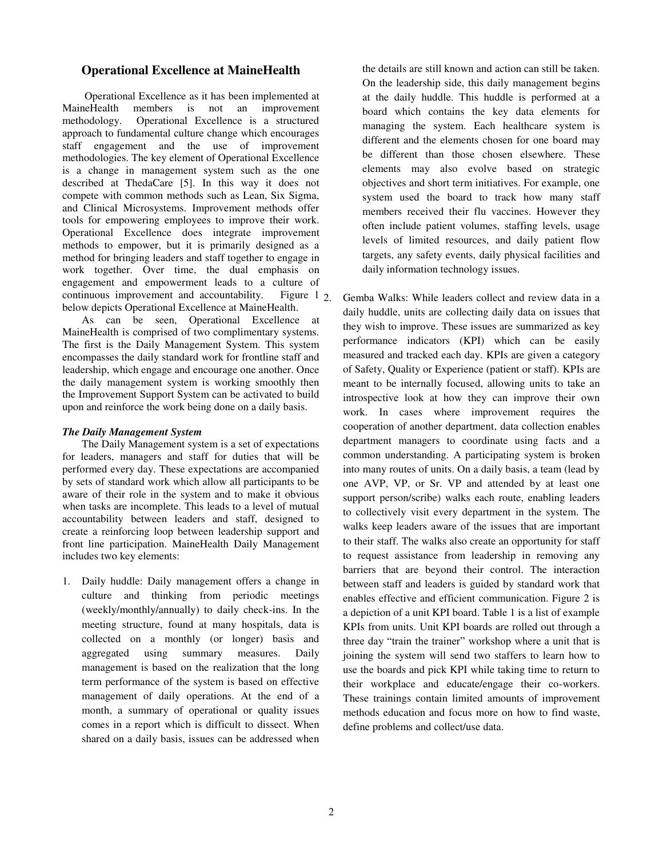## **Operational Excellence at MaineHealth**

 Operational Excellence as it has been implemented at MaineHealth members is not an improvement methodology. Operational Excellence is a structured approach to fundamental culture change which encourages staff engagement and the use of improvement methodologies. The key element of Operational Excellence is a change in management system such as the one described at ThedaCare [5]. In this way it does not compete with common methods such as Lean, Six Sigma, and Clinical Microsystems. Improvement methods offer tools for empowering employees to improve their work. Operational Excellence does integrate improvement methods to empower, but it is primarily designed as a method for bringing leaders and staff together to engage in work together. Over time, the dual emphasis on engagement and empowerment leads to a culture of continuous improvement and accountability. Figure  $1<sub>2</sub>$ below depicts Operational Excellence at MaineHealth.

As can be seen, Operational Excellence at MaineHealth is comprised of two complimentary systems. The first is the Daily Management System. This system encompasses the daily standard work for frontline staff and leadership, which engage and encourage one another. Once the daily management system is working smoothly then the Improvement Support System can be activated to build upon and reinforce the work being done on a daily basis.

#### *The Daily Management System*

The Daily Management system is a set of expectations for leaders, managers and staff for duties that will be performed every day. These expectations are accompanied by sets of standard work which allow all participants to be aware of their role in the system and to make it obvious when tasks are incomplete. This leads to a level of mutual accountability between leaders and staff, designed to create a reinforcing loop between leadership support and front line participation. MaineHealth Daily Management includes two key elements:

1. Daily huddle: Daily management offers a change in culture and thinking from periodic meetings (weekly/monthly/annually) to daily check-ins. In the meeting structure, found at many hospitals, data is collected on a monthly (or longer) basis and aggregated using summary measures. Daily management is based on the realization that the long term performance of the system is based on effective management of daily operations. At the end of a month, a summary of operational or quality issues comes in a report which is difficult to dissect. When shared on a daily basis, issues can be addressed when the details are still known and action can still be taken. On the leadership side, this daily management begins at the daily huddle. This huddle is performed at a board which contains the key data elements for managing the system. Each healthcare system is different and the elements chosen for one board may be different than those chosen elsewhere. These elements may also evolve based on strategic objectives and short term initiatives. For example, one system used the board to track how many staff members received their flu vaccines. However they often include patient volumes, staffing levels, usage levels of limited resources, and daily patient flow targets, any safety events, daily physical facilities and daily information technology issues.

2. Gemba Walks: While leaders collect and review data in a daily huddle, units are collecting daily data on issues that they wish to improve. These issues are summarized as key performance indicators (KPI) which can be easily measured and tracked each day. KPIs are given a category of Safety, Quality or Experience (patient or staff). KPIs are meant to be internally focused, allowing units to take an introspective look at how they can improve their own work. In cases where improvement requires the cooperation of another department, data collection enables department managers to coordinate using facts and a common understanding. A participating system is broken into many routes of units. On a daily basis, a team (lead by one AVP, VP, or Sr. VP and attended by at least one support person/scribe) walks each route, enabling leaders to collectively visit every department in the system. The walks keep leaders aware of the issues that are important to their staff. The walks also create an opportunity for staff to request assistance from leadership in removing any barriers that are beyond their control. The interaction between staff and leaders is guided by standard work that enables effective and efficient communication. Figure 2 is a depiction of a unit KPI board. Table 1 is a list of example KPIs from units. Unit KPI boards are rolled out through a three day "train the trainer" workshop where a unit that is joining the system will send two staffers to learn how to use the boards and pick KPI while taking time to return to their workplace and educate/engage their co-workers. These trainings contain limited amounts of improvement methods education and focus more on how to find waste, define problems and collect/use data.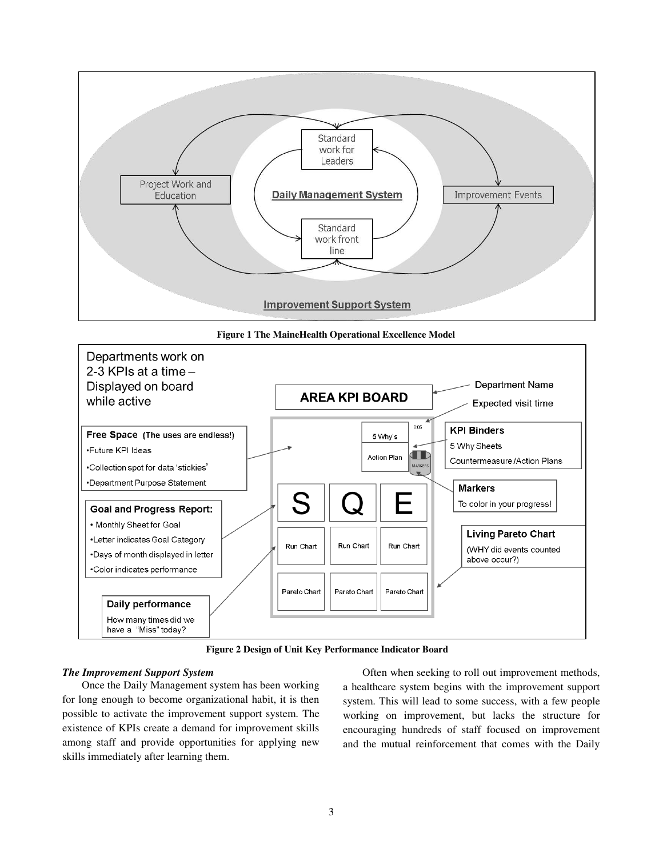





**Figure 2 Design of Unit Key Performance Indicator Board**

### *The Improvement Support System*

Once the Daily Management system has been working for long enough to become organizational habit, it is then possible to activate the improvement support system. The existence of KPIs create a demand for improvement skills among staff and provide opportunities for applying new skills immediately after learning them.

Often when seeking to roll out improvement methods, a healthcare system begins with the improvement support system. This will lead to some success, with a few people working on improvement, but lacks the structure for encouraging hundreds of staff focused on improvement and the mutual reinforcement that comes with the Daily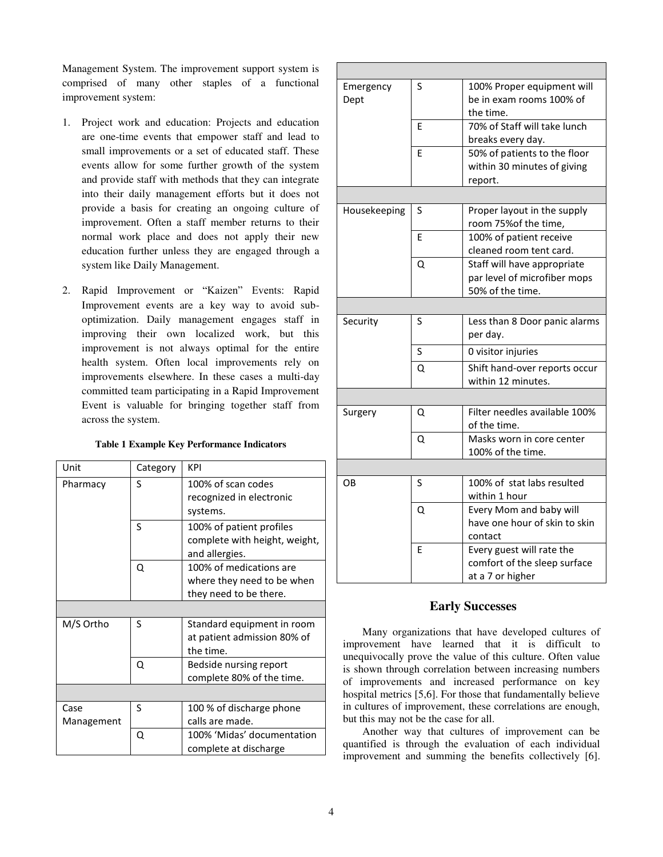Management System. The improvement support system is comprised of many other staples of a functional improvement system:

- 1. Project work and education: Projects and education are one-time events that empower staff and lead to small improvements or a set of educated staff. These events allow for some further growth of the system and provide staff with methods that they can integrate into their daily management efforts but it does not provide a basis for creating an ongoing culture of improvement. Often a staff member returns to their normal work place and does not apply their new education further unless they are engaged through a system like Daily Management.
- 2. Rapid Improvement or "Kaizen" Events: Rapid Improvement events are a key way to avoid suboptimization. Daily management engages staff in improving their own localized work, but this improvement is not always optimal for the entire health system. Often local improvements rely on improvements elsewhere. In these cases a multi-day committed team participating in a Rapid Improvement Event is valuable for bringing together staff from across the system.

#### **Table 1 Example Key Performance Indicators**

| Unit       | Category | KPI                                            |
|------------|----------|------------------------------------------------|
| Pharmacy   | S        | 100% of scan codes<br>recognized in electronic |
|            |          | systems.                                       |
|            | S        | 100% of patient profiles                       |
|            |          | complete with height, weight,                  |
|            |          | and allergies.                                 |
|            | Ο        | 100% of medications are                        |
|            |          | where they need to be when                     |
|            |          | they need to be there.                         |
|            |          |                                                |
| M/S Ortho  | S        | Standard equipment in room                     |
|            |          | at patient admission 80% of                    |
|            |          | the time.                                      |
|            | Q        | Bedside nursing report                         |
|            |          | complete 80% of the time.                      |
|            |          |                                                |
| Case       | S        | 100 % of discharge phone                       |
| Management |          | calls are made.                                |
|            | Q        | 100% 'Midas' documentation                     |
|            |          | complete at discharge                          |

| Emergency    | S | 100% Proper equipment will    |
|--------------|---|-------------------------------|
| Dept         |   | be in exam rooms 100% of      |
|              |   | the time.                     |
|              | F | 70% of Staff will take lunch  |
|              |   | breaks every day.             |
|              | E | 50% of patients to the floor  |
|              |   | within 30 minutes of giving   |
|              |   | report.                       |
|              |   |                               |
| Housekeeping | S | Proper layout in the supply   |
|              |   | room 75% of the time,         |
|              | E | 100% of patient receive       |
|              |   | cleaned room tent card.       |
|              | Q | Staff will have appropriate   |
|              |   | par level of microfiber mops  |
|              |   | 50% of the time.              |
|              |   |                               |
| Security     | S | Less than 8 Door panic alarms |
|              |   | per day.                      |
|              | S | 0 visitor injuries            |
|              | Q | Shift hand-over reports occur |
|              |   | within 12 minutes.            |
|              |   |                               |
| Surgery      | Q | Filter needles available 100% |
|              |   | of the time.                  |
|              | Q | Masks worn in core center     |
|              |   | 100% of the time.             |
|              |   |                               |
| OВ           | S | 100% of stat labs resulted    |
|              |   | within 1 hour                 |
|              | Q | Every Mom and baby will       |
|              |   | have one hour of skin to skin |
|              |   | contact                       |
|              | E | Every guest will rate the     |
|              |   | comfort of the sleep surface  |
|              |   | at a 7 or higher              |

### **Early Successes**

Many organizations that have developed cultures of improvement have learned that it is difficult to unequivocally prove the value of this culture. Often value is shown through correlation between increasing numbers of improvements and increased performance on key hospital metrics [5,6]. For those that fundamentally believe in cultures of improvement, these correlations are enough, but this may not be the case for all.

Another way that cultures of improvement can be quantified is through the evaluation of each individual improvement and summing the benefits collectively [6].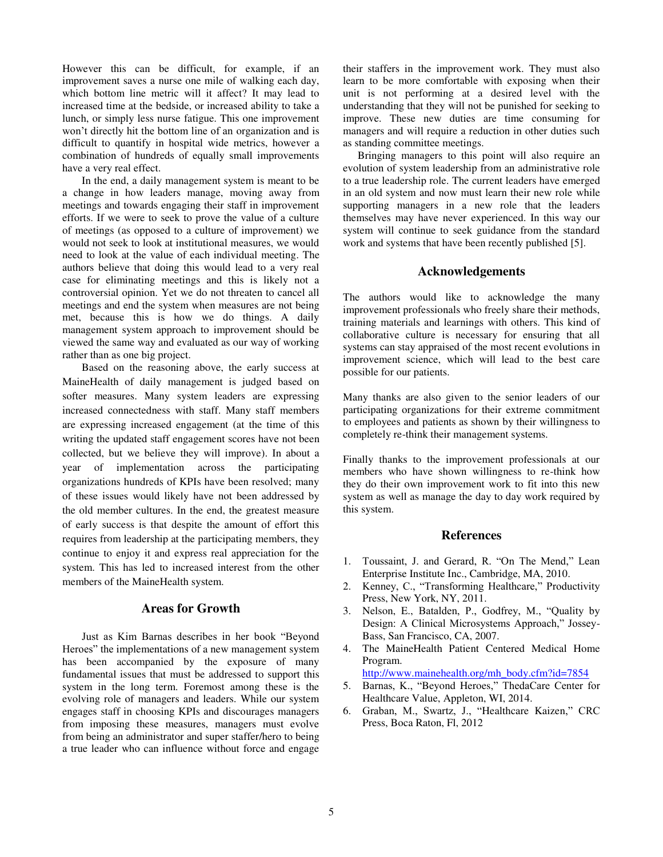However this can be difficult, for example, if an improvement saves a nurse one mile of walking each day, which bottom line metric will it affect? It may lead to increased time at the bedside, or increased ability to take a lunch, or simply less nurse fatigue. This one improvement won't directly hit the bottom line of an organization and is difficult to quantify in hospital wide metrics, however a combination of hundreds of equally small improvements have a very real effect.

In the end, a daily management system is meant to be a change in how leaders manage, moving away from meetings and towards engaging their staff in improvement efforts. If we were to seek to prove the value of a culture of meetings (as opposed to a culture of improvement) we would not seek to look at institutional measures, we would need to look at the value of each individual meeting. The authors believe that doing this would lead to a very real case for eliminating meetings and this is likely not a controversial opinion. Yet we do not threaten to cancel all meetings and end the system when measures are not being met, because this is how we do things. A daily management system approach to improvement should be viewed the same way and evaluated as our way of working rather than as one big project.

Based on the reasoning above, the early success at MaineHealth of daily management is judged based on softer measures. Many system leaders are expressing increased connectedness with staff. Many staff members are expressing increased engagement (at the time of this writing the updated staff engagement scores have not been collected, but we believe they will improve). In about a year of implementation across the participating organizations hundreds of KPIs have been resolved; many of these issues would likely have not been addressed by the old member cultures. In the end, the greatest measure of early success is that despite the amount of effort this requires from leadership at the participating members, they continue to enjoy it and express real appreciation for the system. This has led to increased interest from the other members of the MaineHealth system.

### **Areas for Growth**

Just as Kim Barnas describes in her book "Beyond Heroes" the implementations of a new management system has been accompanied by the exposure of many fundamental issues that must be addressed to support this system in the long term. Foremost among these is the evolving role of managers and leaders. While our system engages staff in choosing KPIs and discourages managers from imposing these measures, managers must evolve from being an administrator and super staffer/hero to being a true leader who can influence without force and engage

their staffers in the improvement work. They must also learn to be more comfortable with exposing when their unit is not performing at a desired level with the understanding that they will not be punished for seeking to improve. These new duties are time consuming for managers and will require a reduction in other duties such as standing committee meetings.

Bringing managers to this point will also require an evolution of system leadership from an administrative role to a true leadership role. The current leaders have emerged in an old system and now must learn their new role while supporting managers in a new role that the leaders themselves may have never experienced. In this way our system will continue to seek guidance from the standard work and systems that have been recently published [5].

#### **Acknowledgements**

The authors would like to acknowledge the many improvement professionals who freely share their methods, training materials and learnings with others. This kind of collaborative culture is necessary for ensuring that all systems can stay appraised of the most recent evolutions in improvement science, which will lead to the best care possible for our patients.

Many thanks are also given to the senior leaders of our participating organizations for their extreme commitment to employees and patients as shown by their willingness to completely re-think their management systems.

Finally thanks to the improvement professionals at our members who have shown willingness to re-think how they do their own improvement work to fit into this new system as well as manage the day to day work required by this system.

# **References**

- 1. Toussaint, J. and Gerard, R. "On The Mend," Lean Enterprise Institute Inc., Cambridge, MA, 2010.
- 2. Kenney, C., "Transforming Healthcare," Productivity Press, New York, NY, 2011.
- 3. Nelson, E., Batalden, P., Godfrey, M., "Quality by Design: A Clinical Microsystems Approach," Jossey-Bass, San Francisco, CA, 2007.
- 4. The MaineHealth Patient Centered Medical Home Program.
	- [http://www.mainehealth.org/mh\\_body.cfm?id=7854](http://www.mainehealth.org/mh_body.cfm?id=7854)
- 5. Barnas, K., "Beyond Heroes," ThedaCare Center for Healthcare Value, Appleton, WI, 2014.
- 6. Graban, M., Swartz, J., "Healthcare Kaizen," CRC Press, Boca Raton, Fl, 2012